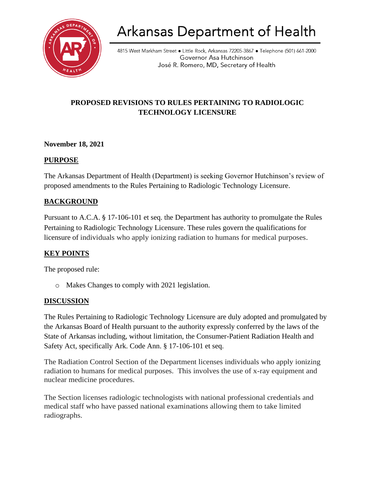

# **Arkansas Department of Health**

4815 West Markham Street · Little Rock, Arkansas 72205-3867 · Telephone (501) 661-2000 Governor Asa Hutchinson José R. Romero, MD, Secretary of Health

## **PROPOSED REVISIONS TO RULES PERTAINING TO RADIOLOGIC TECHNOLOGY LICENSURE**

## **November 18, 2021**

#### **PURPOSE**

The Arkansas Department of Health (Department) is seeking Governor Hutchinson's review of proposed amendments to the Rules Pertaining to Radiologic Technology Licensure.

## **BACKGROUND**

Pursuant to A.C.A. § 17-106-101 et seq. the Department has authority to promulgate the Rules Pertaining to Radiologic Technology Licensure. These rules govern the qualifications for licensure of individuals who apply ionizing radiation to humans for medical purposes.

## **KEY POINTS**

The proposed rule:

o Makes Changes to comply with 2021 legislation.

#### **DISCUSSION**

The Rules Pertaining to Radiologic Technology Licensure are duly adopted and promulgated by the Arkansas Board of Health pursuant to the authority expressly conferred by the laws of the State of Arkansas including, without limitation, the Consumer-Patient Radiation Health and Safety Act, specifically Ark. Code Ann. § 17-106-101 et seq.

The Radiation Control Section of the Department licenses individuals who apply ionizing radiation to humans for medical purposes. This involves the use of x-ray equipment and nuclear medicine procedures.

The Section licenses radiologic technologists with national professional credentials and medical staff who have passed national examinations allowing them to take limited radiographs.